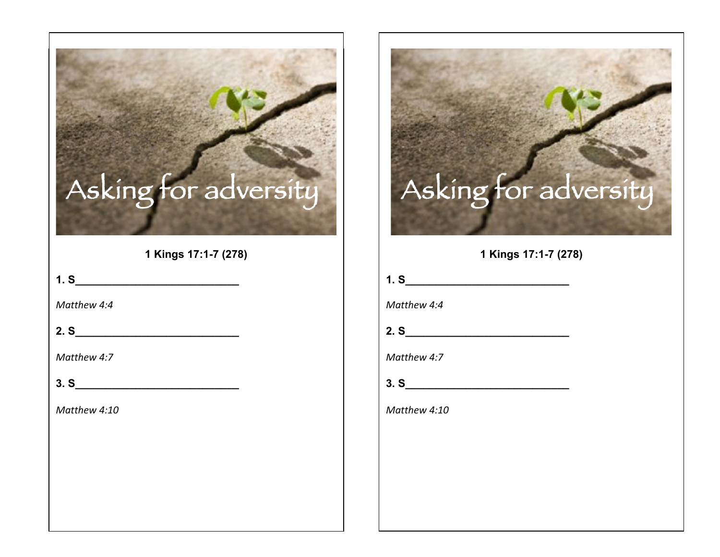## Asking for adversity

**1 Kings 17:1-7 (278)**

**1. S\_\_\_\_\_\_\_\_\_\_\_\_\_\_\_\_\_\_\_\_\_\_\_\_\_\_\_** 

*Matthew 4:4*

**2. S\_\_\_\_\_\_\_\_\_\_\_\_\_\_\_\_\_\_\_\_\_\_\_\_\_\_\_** 

*Matthew 4:7*

**3. S\_\_\_\_\_\_\_\_\_\_\_\_\_\_\_\_\_\_\_\_\_\_\_\_\_\_\_** 

*Matthew 4:10*

## Asking for adversity

**1 Kings 17:1-7 (278)**

**1. S\_\_\_\_\_\_\_\_\_\_\_\_\_\_\_\_\_\_\_\_\_\_\_\_\_\_\_** 

*Matthew 4:4*

**2. S\_\_\_\_\_\_\_\_\_\_\_\_\_\_\_\_\_\_\_\_\_\_\_\_\_\_\_** 

*Matthew 4:7*

**3. S\_\_\_\_\_\_\_\_\_\_\_\_\_\_\_\_\_\_\_\_\_\_\_\_\_\_\_** 

*Matthew 4:10*